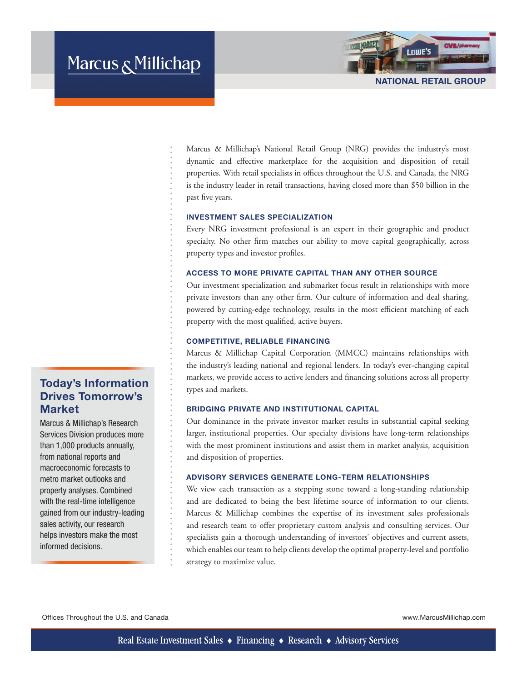# Marcus & Millichap



Marcus & Millichap's National Retail Group (NRG) provides the industry's most dynamic and effective marketplace for the acquisition and disposition of retail properties. With retail specialists in offices throughout the U.S. and Canada, the NRG is the industry leader in retail transactions, having closed more than \$50 billion in the past five years.

## INVESTMENT SALES SPECIALIZATION

Every NRG investment professional is an expert in their geographic and product specialty. No other firm matches our ability to move capital geographically, across property types and investor profiles.

#### ACCESS TO MORE PRIVATE CAPITAL THAN ANY OTHER SOURCE

Our investment specialization and submarket focus result in relationships with more private investors than any other firm. Our culture of information and deal sharing, powered by cutting-edge technology, results in the most efficient matching of each property with the most qualified, active buyers.

## COMPETITIVE, RELIABLE FINANCING

Marcus & Millichap Capital Corporation (MMCC) maintains relationships with the industry's leading national and regional lenders. In today's ever-changing capital markets, we provide access to active lenders and financing solutions across all property types and markets.

#### BRIDGING PRIVATE AND INSTITUTIONAL CAPITAL

Our dominance in the private investor market results in substantial capital seeking larger, institutional properties. Our specialty divisions have long-term relationships with the most prominent institutions and assist them in market analysis, acquisition and disposition of properties.

#### ADVISORY SERVICES GENERATE LONG-TERM RELATIONSHIPS

We view each transaction as a stepping stone toward a long-standing relationship and are dedicated to being the best lifetime source of information to our clients. Marcus & Millichap combines the expertise of its investment sales professionals and research team to offer proprietary custom analysis and consulting services. Our specialists gain a thorough understanding of investors' objectives and current assets, which enables our team to help clients develop the optimal property-level and portfolio strategy to maximize value.

Offices Throughout the U.S. and Canada www.MarcusMillichap.com

Today's Information Drives Tomorrow's

Marcus & Millichap's Research Services Division produces more than 1,000 products annually, from national reports and macroeconomic forecasts to metro market outlooks and property analyses. Combined with the real-time intelligence gained from our industry-leading sales activity, our research helps investors make the most

**Market** 

informed decisions.